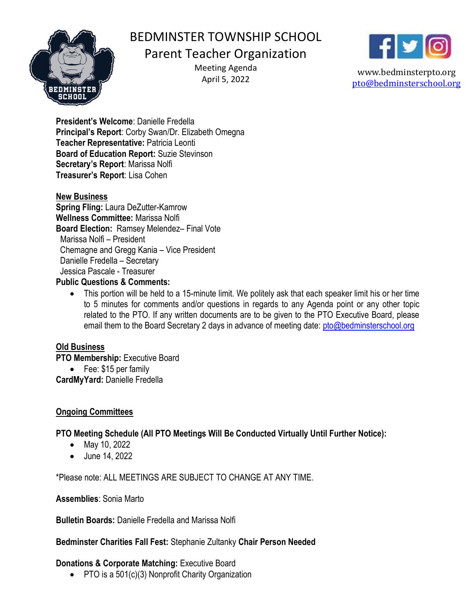

# BEDMINSTER TOWNSHIP SCHOOL

# Parent Teacher Organization

Meeting Agenda April 5, 2022



www.bedminsterpto.org pto@bedminsterschool.org

President's Welcome: Danielle Fredella Principal's Report: Corby Swan/Dr. Elizabeth Omegna Teacher Representative: Patricia Leonti Board of Education Report: Suzie Stevinson Secretary's Report: Marissa Nolfi Treasurer's Report: Lisa Cohen

#### New Business

Spring Fling: Laura DeZutter-Kamrow Wellness Committee: Marissa Nolfi Board Election: Ramsey Melendez– Final Vote Marissa Nolfi – President Chemagne and Gregg Kania – Vice President Danielle Fredella – Secretary Jessica Pascale - Treasurer

#### Public Questions & Comments:

 This portion will be held to a 15-minute limit. We politely ask that each speaker limit his or her time to 5 minutes for comments and/or questions in regards to any Agenda point or any other topic related to the PTO. If any written documents are to be given to the PTO Executive Board, please email them to the Board Secretary 2 days in advance of meeting date: pto@bedminsterschool.org

# Old Business

PTO Membership: Executive Board

• Fee: \$15 per family

CardMyYard: Danielle Fredella

# Ongoing Committees

# PTO Meeting Schedule (All PTO Meetings Will Be Conducted Virtually Until Further Notice):

- May 10, 2022
- June 14, 2022

\*Please note: ALL MEETINGS ARE SUBJECT TO CHANGE AT ANY TIME.

#### Assemblies: Sonia Marto

Bulletin Boards: Danielle Fredella and Marissa Nolfi

#### Bedminster Charities Fall Fest: Stephanie Zultanky Chair Person Needed

# Donations & Corporate Matching: Executive Board

• PTO is a 501(c)(3) Nonprofit Charity Organization